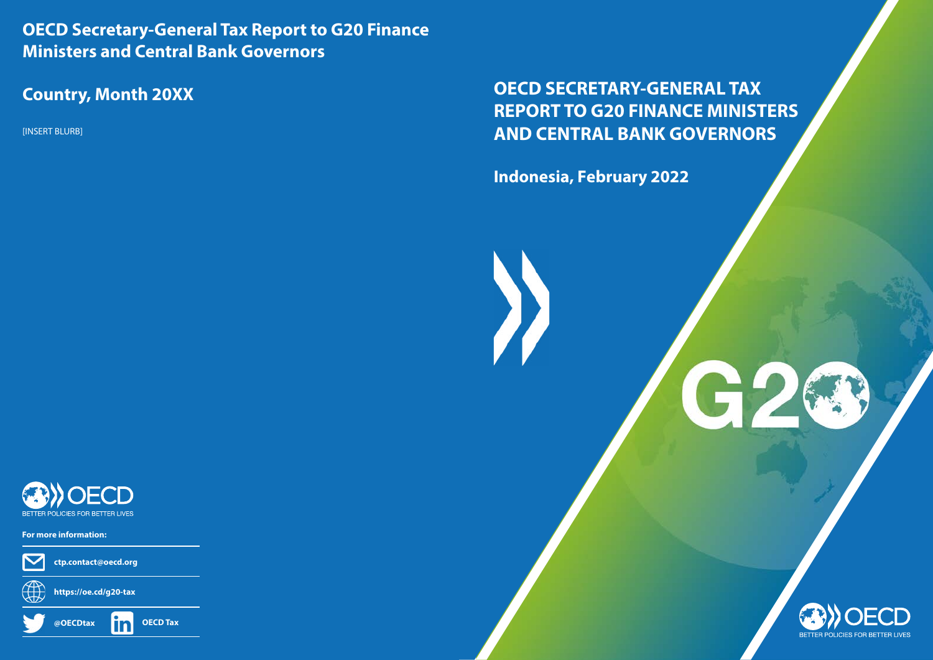# **OECD SECRETARY-GENERAL TAX REPORT TO G20 FINANCE MINISTERS AND CENTRAL BANK GOVERNORS**

C

**Indonesia, February 2022**

I

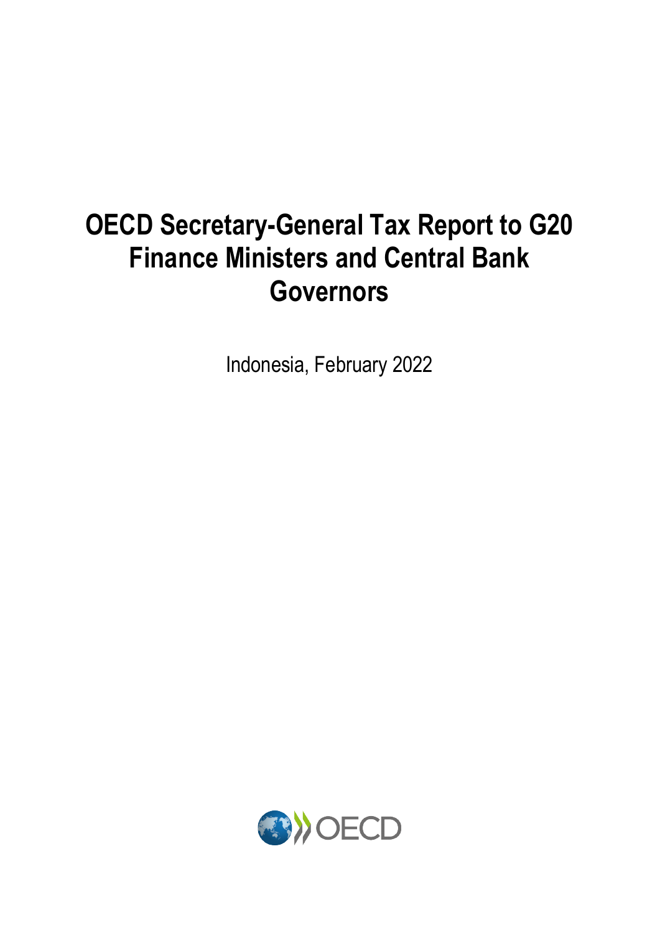# **OECD Secretary-General Tax Report to G20 Finance Ministers and Central Bank Governors**

Indonesia, February 2022

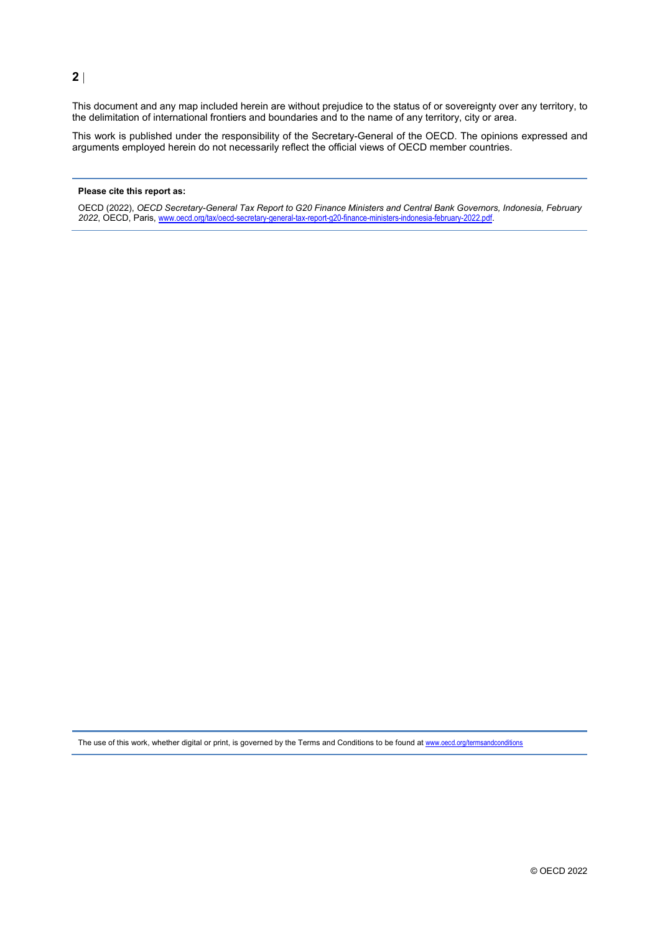#### **2** |

This document and any map included herein are without prejudice to the status of or sovereignty over any territory, to the delimitation of international frontiers and boundaries and to the name of any territory, city or area.

This work is published under the responsibility of the Secretary-General of the OECD. The opinions expressed and arguments employed herein do not necessarily reflect the official views of OECD member countries.

#### **Please cite this report as:**

OECD (2022), *OECD Secretary-General Tax Report to G20 Finance Ministers and Central Bank Governors, Indonesia, February 2022*, OECD, Paris, [www.oecd.org/tax/oecd-secretary-general-tax-report-g20-finance-ministers-indonesia-february-2022.pdf](http://www.oecd.org/tax/oecd-secretary-general-tax-report-g20-finance-ministers-indonesia-february-2022.pdf).

The use of this work, whether digital or print, is governed by the Terms and Conditions to be found at [www.oecd.org/termsandconditions](http://www.oecd.org/termsandconditions)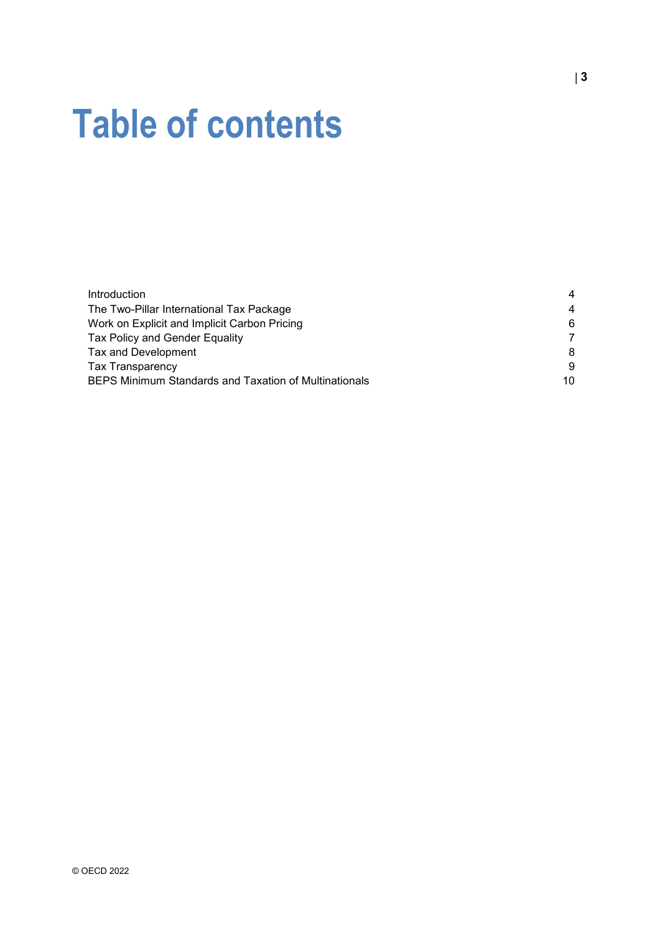# **Table of contents**

| <b>Introduction</b>                                   | 4              |
|-------------------------------------------------------|----------------|
| The Two-Pillar International Tax Package              | $\overline{4}$ |
| Work on Explicit and Implicit Carbon Pricing          | 6              |
| Tax Policy and Gender Equality                        | 7              |
| Tax and Development                                   | 8              |
| <b>Tax Transparency</b>                               | 9              |
| BEPS Minimum Standards and Taxation of Multinationals | 10             |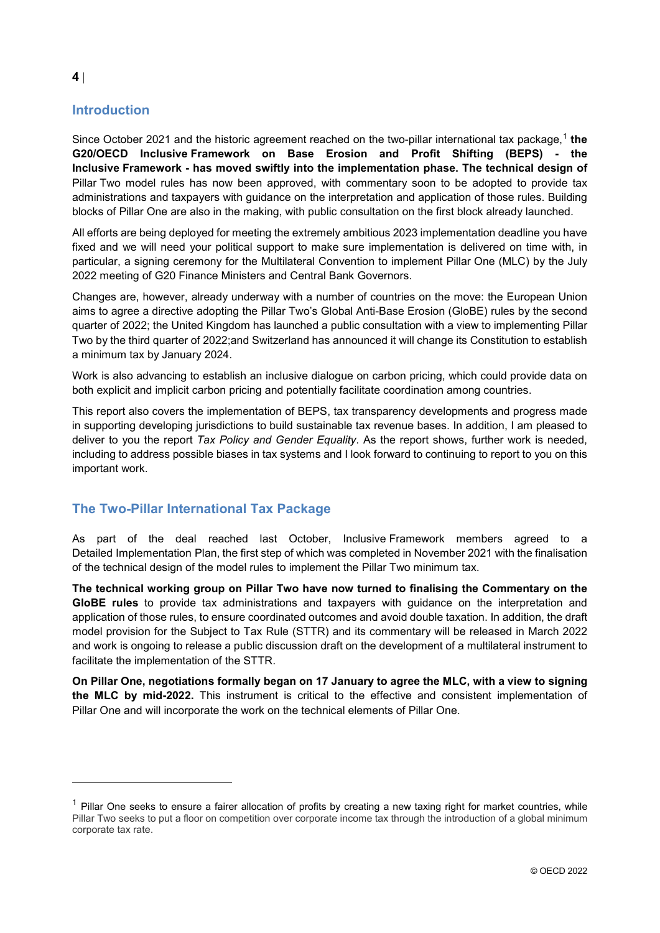## <span id="page-4-0"></span>**Introduction**

Since October 2021 and the historic agreement reached on the two-pillar international tax package, [1](#page-4-2) **the G20/OECD Inclusive Framework on Base Erosion and Profit Shifting (BEPS) - the Inclusive Framework - has moved swiftly into the implementation phase. The technical design of** Pillar Two model rules has now been approved, with commentary soon to be adopted to provide tax administrations and taxpayers with guidance on the interpretation and application of those rules. Building blocks of Pillar One are also in the making, with public consultation on the first block already launched.

All efforts are being deployed for meeting the extremely ambitious 2023 implementation deadline you have fixed and we will need your political support to make sure implementation is delivered on time with, in particular, a signing ceremony for the Multilateral Convention to implement Pillar One (MLC) by the July 2022 meeting of G20 Finance Ministers and Central Bank Governors.

Changes are, however, already underway with a number of countries on the move: the European Union aims to agree a directive adopting the Pillar Two's Global Anti-Base Erosion (GloBE) rules by the second quarter of 2022; the United Kingdom has launched a public consultation with a view to implementing Pillar Two by the third quarter of 2022;and Switzerland has announced it will change its Constitution to establish a minimum tax by January 2024.

Work is also advancing to establish an inclusive dialogue on carbon pricing, which could provide data on both explicit and implicit carbon pricing and potentially facilitate coordination among countries.

This report also covers the implementation of BEPS, tax transparency developments and progress made in supporting developing jurisdictions to build sustainable tax revenue bases. In addition, I am pleased to deliver to you the report *Tax Policy and Gender Equality*. As the report shows, further work is needed, including to address possible biases in tax systems and I look forward to continuing to report to you on this important work.

## <span id="page-4-1"></span>**The Two-Pillar International Tax Package**

As part of the deal reached last October, Inclusive Framework members agreed to a Detailed Implementation Plan, the first step of which was completed in November 2021 with the finalisation of the technical design of the model rules to implement the Pillar Two minimum tax.

**The technical working group on Pillar Two have now turned to finalising the Commentary on the GloBE rules** to provide tax administrations and taxpayers with guidance on the interpretation and application of those rules, to ensure coordinated outcomes and avoid double taxation. In addition, the draft model provision for the Subject to Tax Rule (STTR) and its commentary will be released in March 2022 and work is ongoing to release a public discussion draft on the development of a multilateral instrument to facilitate the implementation of the STTR.

**On Pillar One, negotiations formally began on 17 January to agree the MLC, with a view to signing the MLC by mid-2022.** This instrument is critical to the effective and consistent implementation of Pillar One and will incorporate the work on the technical elements of Pillar One.

<span id="page-4-2"></span> $1$  Pillar One seeks to ensure a fairer allocation of profits by creating a new taxing right for market countries, while Pillar Two seeks to put a floor on competition over corporate income tax through the introduction of a global minimum corporate tax rate.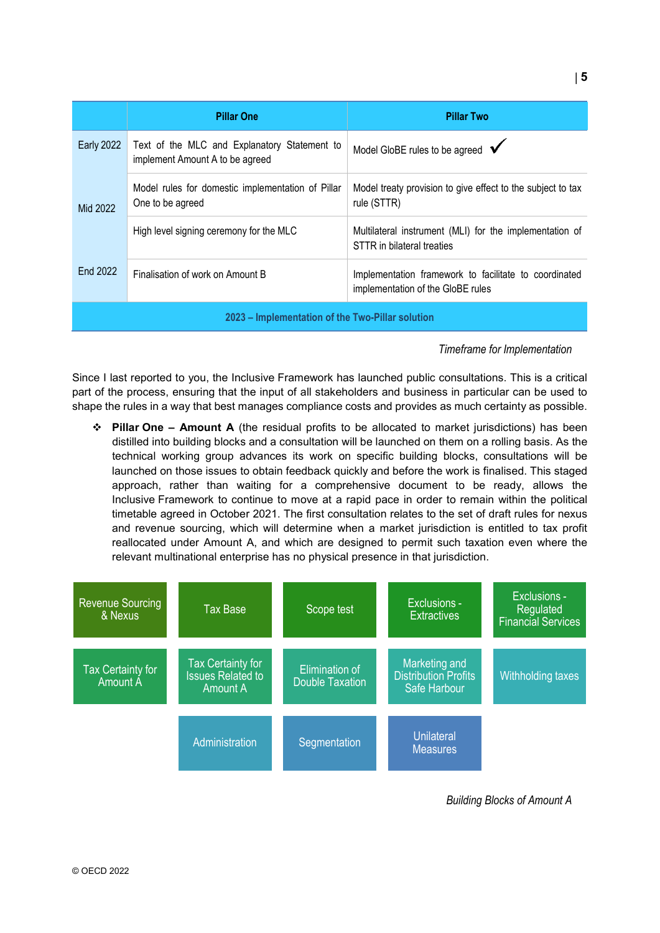|                                                  | <b>Pillar One</b>                                                               | <b>Pillar Two</b>                                                                          |  |
|--------------------------------------------------|---------------------------------------------------------------------------------|--------------------------------------------------------------------------------------------|--|
| <b>Early 2022</b>                                | Text of the MLC and Explanatory Statement to<br>implement Amount A to be agreed | Model GloBE rules to be agreed $\checkmark$                                                |  |
| Mid 2022                                         | Model rules for domestic implementation of Pillar<br>One to be agreed           | Model treaty provision to give effect to the subject to tax<br>rule (STTR)                 |  |
|                                                  | High level signing ceremony for the MLC                                         | Multilateral instrument (MLI) for the implementation of<br>STTR in bilateral treaties      |  |
| End 2022                                         | Finalisation of work on Amount B                                                | Implementation framework to facilitate to coordinated<br>implementation of the GloBE rules |  |
| 2023 – Implementation of the Two-Pillar solution |                                                                                 |                                                                                            |  |

#### *Timeframe for Implementation*

Since I last reported to you, the Inclusive Framework has launched public consultations. This is a critical part of the process, ensuring that the input of all stakeholders and business in particular can be used to shape the rules in a way that best manages compliance costs and provides as much certainty as possible.

 **Pillar One – Amount A** (the residual profits to be allocated to market jurisdictions) has been distilled into building blocks and a consultation will be launched on them on a rolling basis. As the technical working group advances its work on specific building blocks, consultations will be launched on those issues to obtain feedback quickly and before the work is finalised. This staged approach, rather than waiting for a comprehensive document to be ready, allows the Inclusive Framework to continue to move at a rapid pace in order to remain within the political timetable agreed in October 2021. The first consultation relates to the set of draft rules for nexus and revenue sourcing, which will determine when a market jurisdiction is entitled to tax profit reallocated under Amount A, and which are designed to permit such taxation even where the relevant multinational enterprise has no physical presence in that jurisdiction.



*Building Blocks of Amount A*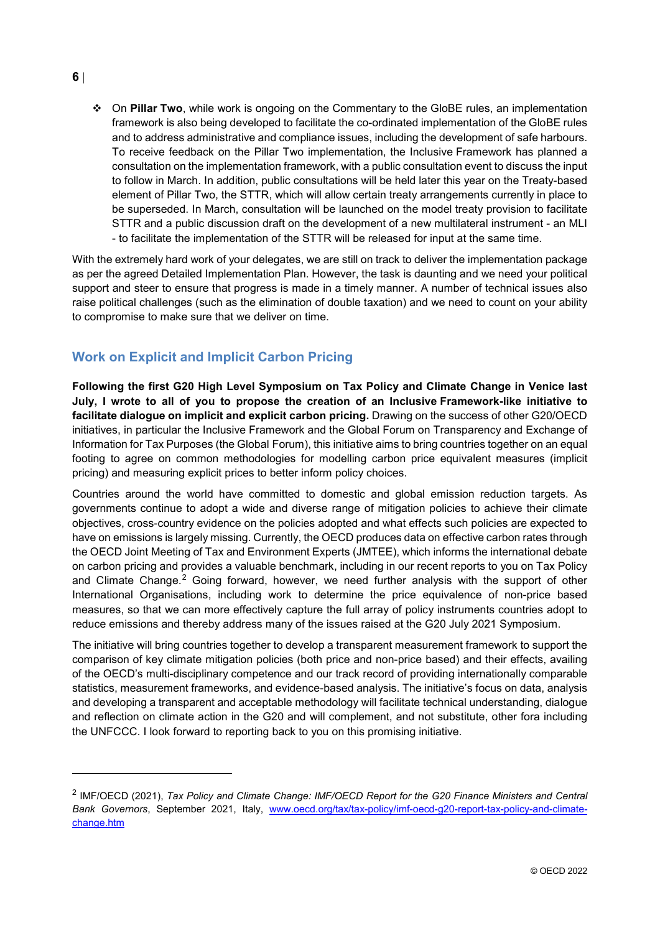**6** |

 $\overline{a}$ 

 On **Pillar Two**, while work is ongoing on the Commentary to the GloBE rules, an implementation framework is also being developed to facilitate the co-ordinated implementation of the GloBE rules and to address administrative and compliance issues, including the development of safe harbours. To receive feedback on the Pillar Two implementation, the Inclusive Framework has planned a consultation on the implementation framework, with a public consultation event to discuss the input to follow in March. In addition, public consultations will be held later this year on the Treaty-based element of Pillar Two, the STTR, which will allow certain treaty arrangements currently in place to be superseded. In March, consultation will be launched on the model treaty provision to facilitate STTR and a public discussion draft on the development of a new multilateral instrument - an MLI - to facilitate the implementation of the STTR will be released for input at the same time.

With the extremely hard work of your delegates, we are still on track to deliver the implementation package as per the agreed Detailed Implementation Plan. However, the task is daunting and we need your political support and steer to ensure that progress is made in a timely manner. A number of technical issues also raise political challenges (such as the elimination of double taxation) and we need to count on your ability to compromise to make sure that we deliver on time.

# <span id="page-6-0"></span>**Work on Explicit and Implicit Carbon Pricing**

**Following the first G20 High Level Symposium on Tax Policy and Climate Change in Venice last July, I wrote to all of you to propose the creation of an Inclusive Framework-like initiative to facilitate dialogue on implicit and explicit carbon pricing.** Drawing on the success of other G20/OECD initiatives, in particular the Inclusive Framework and the Global Forum on Transparency and Exchange of Information for Tax Purposes (the Global Forum), this initiative aims to bring countries together on an equal footing to agree on common methodologies for modelling carbon price equivalent measures (implicit pricing) and measuring explicit prices to better inform policy choices.

Countries around the world have committed to domestic and global emission reduction targets. As governments continue to adopt a wide and diverse range of mitigation policies to achieve their climate objectives, cross-country evidence on the policies adopted and what effects such policies are expected to have on emissions is largely missing. Currently, the OECD produces data on effective carbon rates through the OECD Joint Meeting of Tax and Environment Experts (JMTEE), which informs the international debate on carbon pricing and provides a valuable benchmark, including in our recent reports to you on Tax Policy and Climate Change.<sup>[2](#page-6-1)</sup> Going forward, however, we need further analysis with the support of other International Organisations, including work to determine the price equivalence of non-price based measures, so that we can more effectively capture the full array of policy instruments countries adopt to reduce emissions and thereby address many of the issues raised at the G20 July 2021 Symposium.

The initiative will bring countries together to develop a transparent measurement framework to support the comparison of key climate mitigation policies (both price and non-price based) and their effects, availing of the OECD's multi-disciplinary competence and our track record of providing internationally comparable statistics, measurement frameworks, and evidence-based analysis. The initiative's focus on data, analysis and developing a transparent and acceptable methodology will facilitate technical understanding, dialogue and reflection on climate action in the G20 and will complement, and not substitute, other fora including the UNFCCC. I look forward to reporting back to you on this promising initiative.

<span id="page-6-1"></span><sup>2</sup> IMF/OECD (2021), *Tax Policy and Climate Change: IMF/OECD Report for the G20 Finance Ministers and Central Bank Governors*, September 2021, Italy, [www.oecd.org/tax/tax-policy/imf-oecd-g20-report-tax-policy-and-climate](http://www.oecd.org/tax/tax-policy/imf-oecd-g20-report-tax-policy-and-climate-change.htm)[change.htm](http://www.oecd.org/tax/tax-policy/imf-oecd-g20-report-tax-policy-and-climate-change.htm)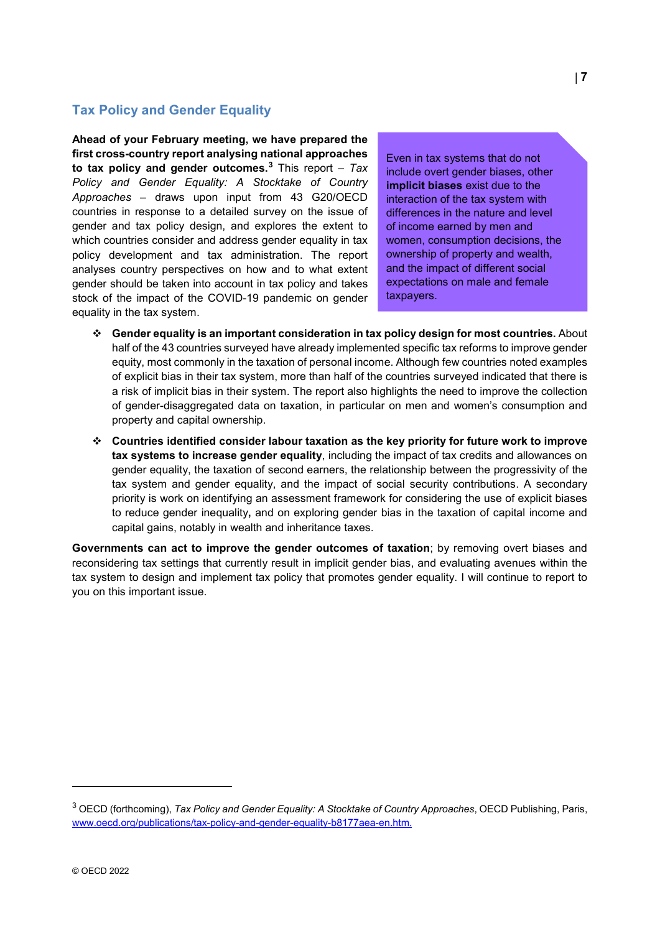## <span id="page-7-0"></span>**Tax Policy and Gender Equality**

**Ahead of your February meeting, we have prepared the first cross-country report analysing national approaches to tax policy and gender outcomes.[3](#page-7-2)** This report *– Tax Policy and Gender Equality: A Stocktake of Country Approaches –* draws upon input from 43 G20/OECD countries in response to a detailed survey on the issue of gender and tax policy design, and explores the extent to which countries consider and address gender equality in tax policy development and tax administration. The report analyses country perspectives on how and to what extent gender should be taken into account in tax policy and takes stock of the impact of the COVID-19 pandemic on gender equality in the tax system.

Even in tax systems that do not include overt gender biases, other **implicit biases** exist due to the interaction of the tax system with differences in the nature and level of income earned by men and women, consumption decisions, the ownership of property and wealth, and the impact of different social expectations on male and female taxpayers.

- **Gender equality is an important consideration in tax policy design for most countries.** About half of the 43 countries surveyed have already implemented specific tax reforms to improve gender equity, most commonly in the taxation of personal income. Although few countries noted examples of explicit bias in their tax system, more than half of the countries surveyed indicated that there is a risk of implicit bias in their system. The report also highlights the need to improve the collection of gender-disaggregated data on taxation, in particular on men and women's consumption and property and capital ownership.
- **Countries identified consider labour taxation as the key priority for future work to improve tax systems to increase gender equality**, including the impact of tax credits and allowances on gender equality, the taxation of second earners, the relationship between the progressivity of the tax system and gender equality, and the impact of social security contributions. A secondary priority is work on identifying an assessment framework for considering the use of explicit biases to reduce gender inequality**,** and on exploring gender bias in the taxation of capital income and capital gains, notably in wealth and inheritance taxes.

<span id="page-7-1"></span>**Governments can act to improve the gender outcomes of taxation**; by removing overt biases and reconsidering tax settings that currently result in implicit gender bias, and evaluating avenues within the tax system to design and implement tax policy that promotes gender equality. I will continue to report to you on this important issue.

<span id="page-7-2"></span><sup>3</sup> OECD (forthcoming), *Tax Policy and Gender Equality: A Stocktake of Country Approaches*, OECD Publishing, Paris, [www.oecd.org/publications/tax-policy-and-gender-equality-b8177aea-en.htm.](http://www.oecd.org/publications/tax-policy-and-gender-equality-b8177aea-en.htm)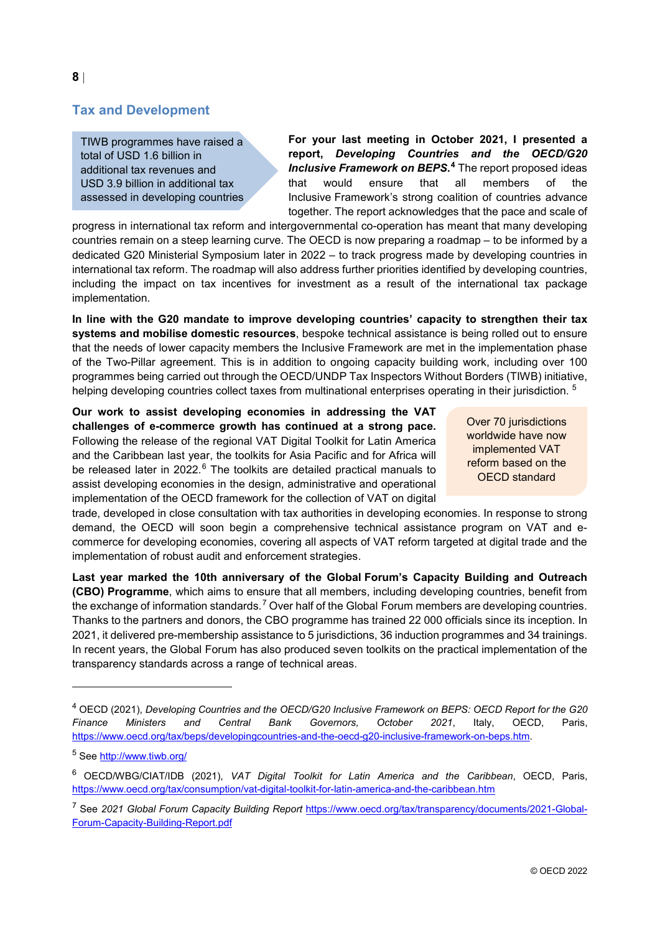## **Tax and Development**

TIWB programmes have raised a total of USD 1.6 billion in additional tax revenues and USD 3.9 billion in additional tax assessed in developing countries **For your last meeting in October 2021, I presented a report,** *Developing Countries and the OECD/G20 Inclusive Framework on BEPS***. [4](#page-8-0)** The report proposed ideas that would ensure that all members of the Inclusive Framework's strong coalition of countries advance together. The report acknowledges that the pace and scale of

progress in international tax reform and intergovernmental co-operation has meant that many developing countries remain on a steep learning curve. The OECD is now preparing a roadmap – to be informed by a dedicated G20 Ministerial Symposium later in 2022 – to track progress made by developing countries in international tax reform. The roadmap will also address further priorities identified by developing countries, including the impact on tax incentives for investment as a result of the international tax package implementation.

**In line with the G20 mandate to improve developing countries' capacity to strengthen their tax systems and mobilise domestic resources**, bespoke technical assistance is being rolled out to ensure that the needs of lower capacity members the Inclusive Framework are met in the implementation phase of the Two-Pillar agreement. This is in addition to ongoing capacity building work, including over 100 programmes being carried out through the OECD/UNDP Tax Inspectors Without Borders (TIWB) initiative, helping developing countries collect taxes from multinational enterprises operating in their jurisdiction. <sup>[5](#page-8-1)</sup>

**Our work to assist developing economies in addressing the VAT challenges of e-commerce growth has continued at a strong pace.** Following the release of the regional VAT Digital Toolkit for Latin America and the Caribbean last year, the toolkits for Asia Pacific and for Africa will be released later in 2022.<sup>[6](#page-8-2)</sup> The toolkits are detailed practical manuals to assist developing economies in the design, administrative and operational implementation of the OECD framework for the collection of VAT on digital

Over 70 jurisdictions worldwide have now implemented VAT reform based on the OECD standard

trade, developed in close consultation with tax authorities in developing economies. In response to strong demand, the OECD will soon begin a comprehensive technical assistance program on VAT and ecommerce for developing economies, covering all aspects of VAT reform targeted at digital trade and the implementation of robust audit and enforcement strategies.

**Last year marked the 10th anniversary of the Global Forum's Capacity Building and Outreach (CBO) Programme**, which aims to ensure that all members, including developing countries, benefit from the exchange of information standards.<sup>[7](#page-8-3)</sup> Over half of the Global Forum members are developing countries. Thanks to the partners and donors, the CBO programme has trained 22 000 officials since its inception. In 2021, it delivered pre-membership assistance to 5 jurisdictions, 36 induction programmes and 34 trainings. In recent years, the Global Forum has also produced seven toolkits on the practical implementation of the transparency standards across a range of technical areas.

<span id="page-8-0"></span><sup>4</sup> OECD (2021), *Developing Countries and the OECD/G20 Inclusive Framework on BEPS: OECD Report for the G20 Finance Ministers and Central Bank Governors, October 2021*, Italy, OECD, Paris, [https://www.oecd.org/tax/beps/developingcountries-and-the-oecd-g20-inclusive-framework-on-beps.htm.](https://www.oecd.org/tax/beps/developingcountries-and-the-oecd-g20-inclusive-framework-on-beps.htm)

<span id="page-8-1"></span><sup>5</sup> See<http://www.tiwb.org/>

<span id="page-8-2"></span><sup>6</sup> OECD/WBG/CIAT/IDB (2021), *VAT Digital Toolkit for Latin America and the Caribbean*, OECD, Paris, <https://www.oecd.org/tax/consumption/vat-digital-toolkit-for-latin-america-and-the-caribbean.htm>

<span id="page-8-3"></span><sup>7</sup> See *2021 Global Forum Capacity Building Report* [https://www.oecd.org/tax/transparency/documents/2021-Global-](https://www.oecd.org/tax/transparency/documents/2021-Global-Forum-Capacity-Building-Report.pdf)[Forum-Capacity-Building-Report.pdf](https://www.oecd.org/tax/transparency/documents/2021-Global-Forum-Capacity-Building-Report.pdf)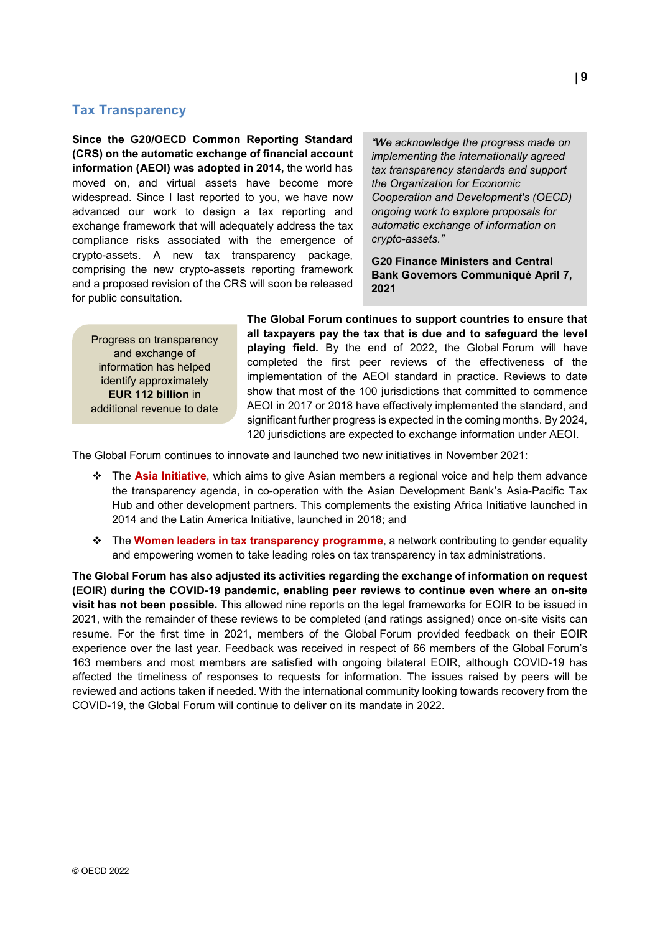### <span id="page-9-0"></span>**Tax Transparency**

**Since the G20/OECD Common Reporting Standard (CRS) on the automatic exchange of financial account information (AEOI) was adopted in 2014,** the world has moved on, and virtual assets have become more widespread. Since I last reported to you, we have now advanced our work to design a tax reporting and exchange framework that will adequately address the tax compliance risks associated with the emergence of crypto-assets. A new tax transparency package, comprising the new crypto-assets reporting framework and a proposed revision of the CRS will soon be released for public consultation.

*"We acknowledge the progress made on implementing the internationally agreed tax transparency standards and support the Organization for Economic Cooperation and Development's (OECD) ongoing work to explore proposals for automatic exchange of information on crypto-assets."*

**G20 Finance Ministers and Central Bank Governors Communiqué April 7, 2021**

Progress on transparency and exchange of information has helped identify approximately **EUR 112 billion** in additional revenue to date **The Global Forum continues to support countries to ensure that all taxpayers pay the tax that is due and to safeguard the level playing field.** By the end of 2022, the Global Forum will have completed the first peer reviews of the effectiveness of the implementation of the AEOI standard in practice. Reviews to date show that most of the 100 jurisdictions that committed to commence AEOI in 2017 or 2018 have effectively implemented the standard, and significant further progress is expected in the coming months. By 2024, 120 jurisdictions are expected to exchange information under AEOI.

The Global Forum continues to innovate and launched two new initiatives in November 2021:

- The **Asia Initiative**, which aims to give Asian members a regional voice and help them advance the transparency agenda, in co-operation with the Asian Development Bank's Asia-Pacific Tax Hub and other development partners. This complements the existing Africa Initiative launched in 2014 and the Latin America Initiative, launched in 2018; and
- The **Women leaders in tax transparency programme**, a network contributing to gender equality and empowering women to take leading roles on tax transparency in tax administrations.

**The Global Forum has also adjusted its activities regarding the exchange of information on request (EOIR) during the COVID-19 pandemic, enabling peer reviews to continue even where an on-site visit has not been possible.** This allowed nine reports on the legal frameworks for EOIR to be issued in 2021, with the remainder of these reviews to be completed (and ratings assigned) once on-site visits can resume. For the first time in 2021, members of the Global Forum provided feedback on their EOIR experience over the last year. Feedback was received in respect of 66 members of the Global Forum's 163 members and most members are satisfied with ongoing bilateral EOIR, although COVID-19 has affected the timeliness of responses to requests for information. The issues raised by peers will be reviewed and actions taken if needed. With the international community looking towards recovery from the COVID-19, the Global Forum will continue to deliver on its mandate in 2022.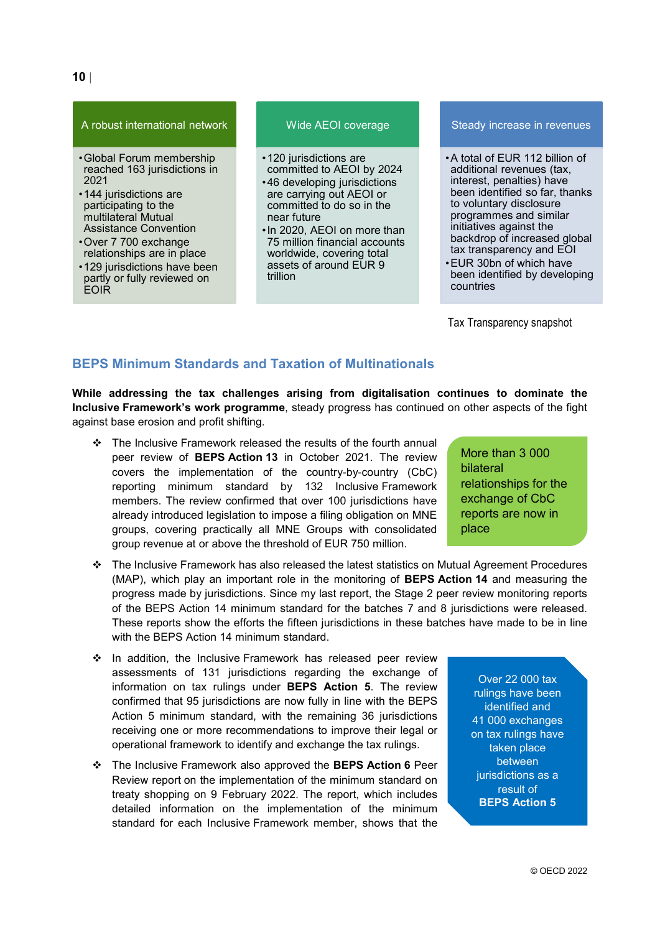#### A robust international network

- •Global Forum membership reached 163 jurisdictions in 2021
- •144 jurisdictions are participating to the multilateral Mutual Assistance Convention
- •Over 7 700 exchange relationships are in place
- •129 jurisdictions have been partly or fully reviewed on EOIR

#### Wide AEOI coverage

- •120 jurisdictions are committed to AEOI by 2024
- •46 developing jurisdictions are carrying out AEOI or committed to do so in the near future
- •In 2020, AEOI on more than 75 million financial accounts worldwide, covering total assets of around EUR 9 trillion

#### Steady increase in revenues

- •A total of EUR 112 billion of additional revenues (tax, interest, penalties) have been identified so far, thanks to voluntary disclosure programmes and similar initiatives against the backdrop of increased global tax transparency and EOI
- •EUR 30bn of which have been identified by developing countries

Tax Transparency snapshot

#### <span id="page-10-0"></span>**BEPS Minimum Standards and Taxation of Multinationals**

**While addressing the tax challenges arising from digitalisation continues to dominate the Inclusive Framework's work programme**, steady progress has continued on other aspects of the fight against base erosion and profit shifting.

- \* The Inclusive Framework released the results of the fourth annual peer review of **BEPS Action 13** in October 2021. The review covers the implementation of the country-by-country (CbC) reporting minimum standard by 132 Inclusive Framework members. The review confirmed that over 100 jurisdictions have already introduced legislation to impose a filing obligation on MNE groups, covering practically all MNE Groups with consolidated group revenue at or above the threshold of EUR 750 million.
- The Inclusive Framework has also released the latest statistics on Mutual Agreement Procedures (MAP), which play an important role in the monitoring of **BEPS Action 14** and measuring the progress made by jurisdictions. Since my last report, the Stage 2 peer review monitoring reports of the BEPS Action 14 minimum standard for the batches 7 and 8 jurisdictions were released. These reports show the efforts the fifteen jurisdictions in these batches have made to be in line with the BEPS Action 14 minimum standard.
- ❖ In addition, the Inclusive Framework has released peer review assessments of 131 jurisdictions regarding the exchange of information on tax rulings under **BEPS Action 5**. The review confirmed that 95 jurisdictions are now fully in line with the BEPS Action 5 minimum standard, with the remaining 36 jurisdictions receiving one or more recommendations to improve their legal or operational framework to identify and exchange the tax rulings.
- The Inclusive Framework also approved the **BEPS Action 6** Peer Review report on the implementation of the minimum standard on treaty shopping on 9 February 2022. The report, which includes detailed information on the implementation of the minimum standard for each Inclusive Framework member, shows that the

More than 3 000 bilateral relationships for the exchange of CbC reports are now in place

Over 22 000 tax rulings have been identified and 41 000 exchanges on tax rulings have taken place between jurisdictions as a result of **BEPS Action 5**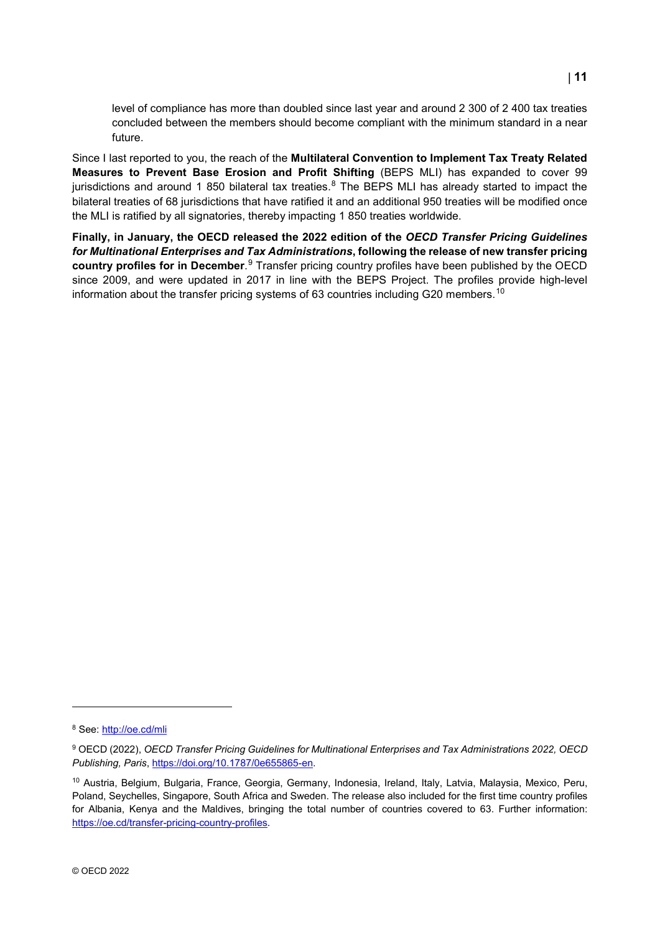level of compliance has more than doubled since last year and around 2 300 of 2 400 tax treaties concluded between the members should become compliant with the minimum standard in a near future.

Since I last reported to you, the reach of the **Multilateral Convention to Implement Tax Treaty Related Measures to Prevent Base Erosion and Profit Shifting** (BEPS MLI) has expanded to cover 99 jurisdictions and around 1 [8](#page-11-0)50 bilateral tax treaties.<sup>8</sup> The BEPS MLI has already started to impact the bilateral treaties of 68 jurisdictions that have ratified it and an additional 950 treaties will be modified once the MLI is ratified by all signatories, thereby impacting 1 850 treaties worldwide.

**Finally, in January, the OECD released the 2022 edition of the** *OECD Transfer Pricing Guidelines for Multinational Enterprises and Tax Administrations***, following the release of new transfer pricing country profiles for in December**. [9](#page-11-1) Transfer pricing country profiles have been published by the OECD since 2009, and were updated in 2017 in line with the BEPS Project. The profiles provide high-level information about the transfer pricing systems of 63 countries including G20 members.<sup>[10](#page-11-2)</sup>

<span id="page-11-0"></span><sup>8</sup> See:<http://oe.cd/mli>

<span id="page-11-1"></span><sup>9</sup> OECD (2022), *OECD Transfer Pricing Guidelines for Multinational Enterprises and Tax Administrations 2022, OECD Publishing, Paris*, [https://doi.org/10.1787/0e655865-en.](https://doi.org/10.1787/0e655865-en) 

<span id="page-11-2"></span><sup>10</sup> Austria, Belgium, Bulgaria, France, Georgia, Germany, Indonesia, Ireland, Italy, Latvia, Malaysia, Mexico, Peru, Poland, Seychelles, Singapore, South Africa and Sweden. The release also included for the first time country profiles for Albania. Kenya and the Maldives, bringing the total number of countries covered to 63. Further information: [https://oe.cd/transfer-pricing-country-profiles.](https://oe.cd/transfer-pricing-country-profiles)